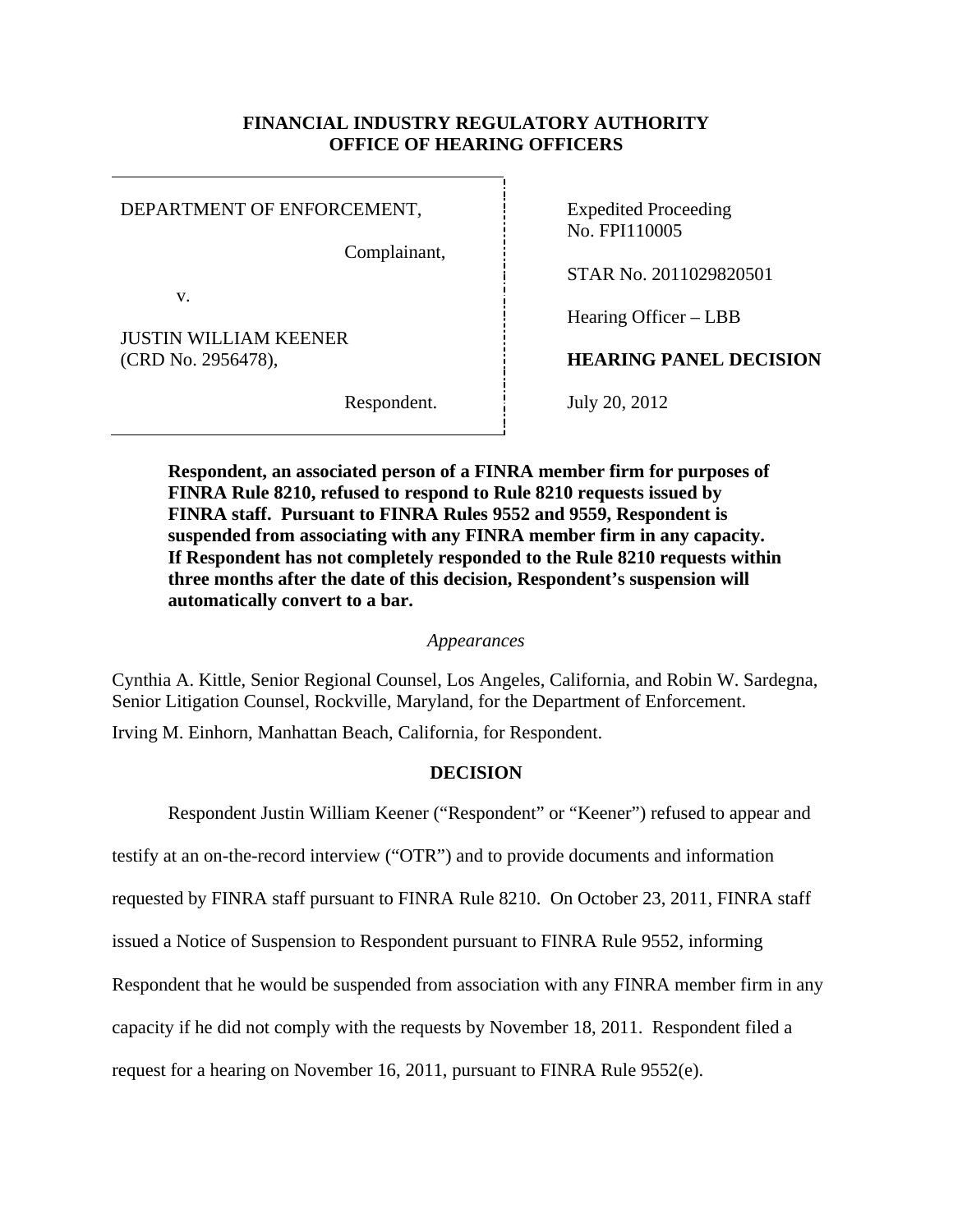# **FINANCIAL INDUSTRY REGULATORY AUTHORITY OFFICE OF HEARING OFFICERS**

DEPARTMENT OF ENFORCEMENT, Fig. 5. Expedited Proceeding

Complainant,

v.

JUSTIN WILLIAM KEENER

No. FPI110005

STAR No. 2011029820501

Hearing Officer – LBB

(CRD No. 2956478), **HEARING PANEL DECISION** 

Respondent. July 20, 2012

**Respondent, an associated person of a FINRA member firm for purposes of FINRA Rule 8210, refused to respond to Rule 8210 requests issued by FINRA staff. Pursuant to FINRA Rules 9552 and 9559, Respondent is suspended from associating with any FINRA member firm in any capacity. If Respondent has not completely responded to the Rule 8210 requests within three months after the date of this decision, Respondent's suspension will automatically convert to a bar.** 

# *Appearances*

Cynthia A. Kittle, Senior Regional Counsel, Los Angeles, California, and Robin W. Sardegna, Senior Litigation Counsel, Rockville, Maryland, for the Department of Enforcement. Irving M. Einhorn, Manhattan Beach, California, for Respondent.

# **DECISION**

Respondent Justin William Keener ("Respondent" or "Keener") refused to appear and

testify at an on-the-record interview ("OTR") and to provide documents and information

requested by FINRA staff pursuant to FINRA Rule 8210. On October 23, 2011, FINRA staff

issued a Notice of Suspension to Respondent pursuant to FINRA Rule 9552, informing

Respondent that he would be suspended from association with any FINRA member firm in any

capacity if he did not comply with the requests by November 18, 2011. Respondent filed a

request for a hearing on November 16, 2011, pursuant to FINRA Rule 9552(e).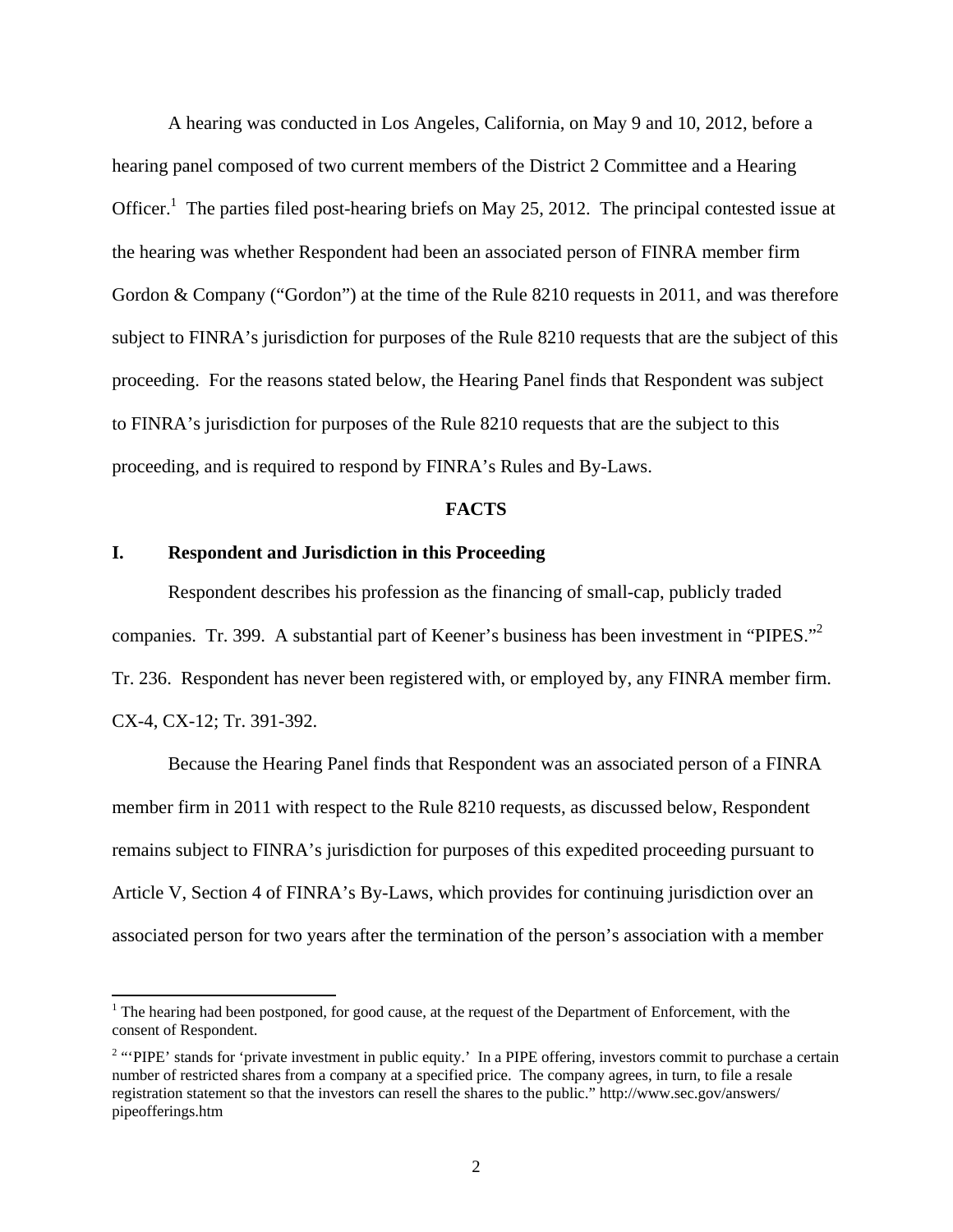A hearing was conducted in Los Angeles, California, on May 9 and 10, 2012, before a hearing panel composed of two current members of the District 2 Committee and a Hearing Officer.<sup>1</sup> The parties filed post-hearing briefs on May 25, 2012. The principal contested issue at the hearing was whether Respondent had been an associated person of FINRA member firm Gordon & Company ("Gordon") at the time of the Rule 8210 requests in 2011, and was therefore subject to FINRA's jurisdiction for purposes of the Rule 8210 requests that are the subject of this proceeding. For the reasons stated below, the Hearing Panel finds that Respondent was subject to FINRA's jurisdiction for purposes of the Rule 8210 requests that are the subject to this proceeding, and is required to respond by FINRA's Rules and By-Laws.

#### **FACTS**

### **I. Respondent and Jurisdiction in this Proceeding**

l

Respondent describes his profession as the financing of small-cap, publicly traded companies. Tr. 399. A substantial part of Keener's business has been investment in "PIPES."<sup>2</sup> Tr. 236. Respondent has never been registered with, or employed by, any FINRA member firm. CX-4, CX-12; Tr. 391-392.

Because the Hearing Panel finds that Respondent was an associated person of a FINRA member firm in 2011 with respect to the Rule 8210 requests, as discussed below, Respondent remains subject to FINRA's jurisdiction for purposes of this expedited proceeding pursuant to Article V, Section 4 of FINRA's By-Laws, which provides for continuing jurisdiction over an associated person for two years after the termination of the person's association with a member

<sup>&</sup>lt;sup>1</sup> The hearing had been postponed, for good cause, at the request of the Department of Enforcement, with the consent of Respondent.

<sup>&</sup>lt;sup>2</sup> "PIPE' stands for 'private investment in public equity.' In a PIPE offering, investors commit to purchase a certain number of restricted shares from a company at a specified price. The company agrees, in turn, to file a resale registration statement so that the investors can resell the shares to the public." http://www.sec.gov/answers/ pipeofferings.htm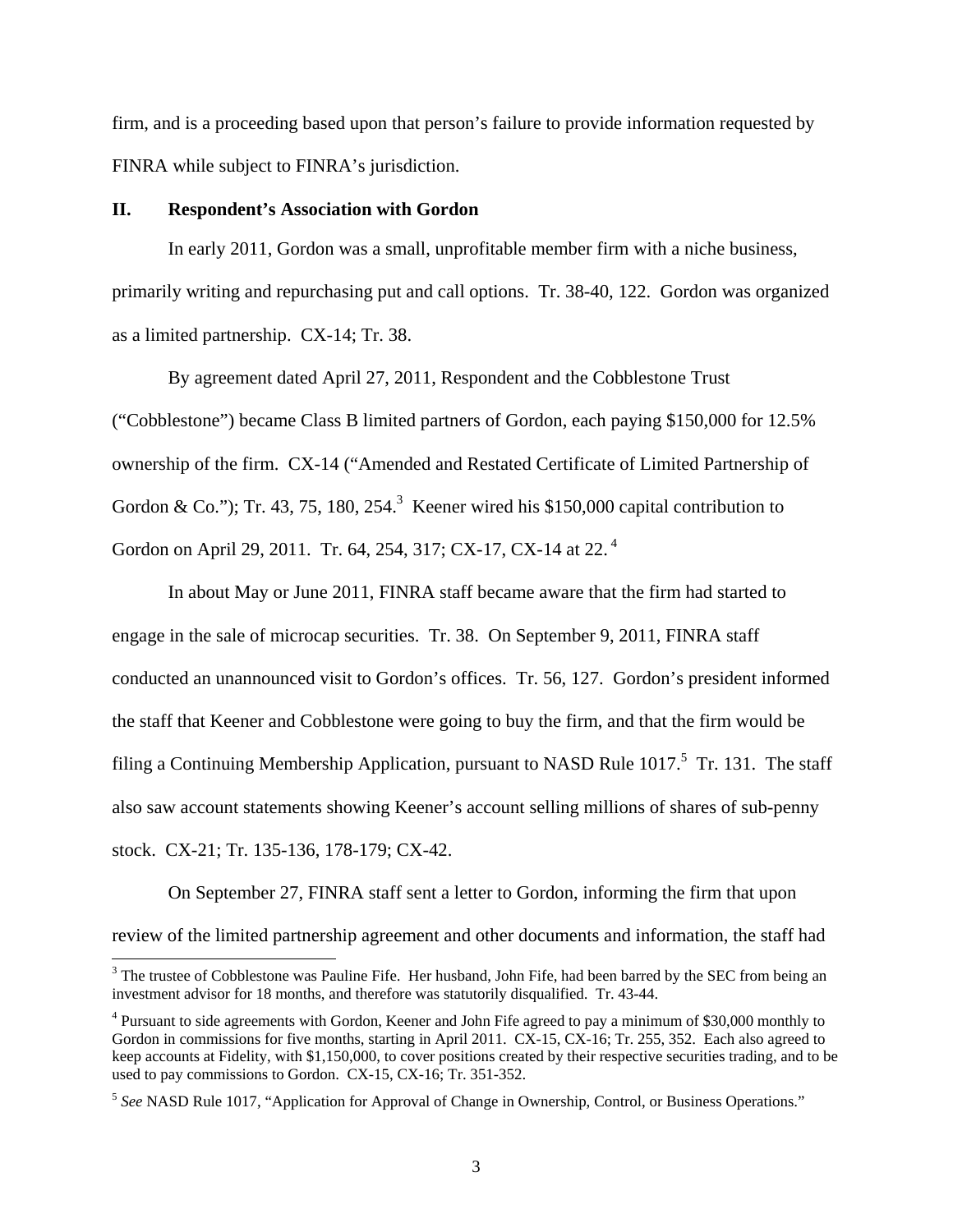firm, and is a proceeding based upon that person's failure to provide information requested by FINRA while subject to FINRA's jurisdiction.

#### **II. Respondent's Association with Gordon**

l

In early 2011, Gordon was a small, unprofitable member firm with a niche business, primarily writing and repurchasing put and call options. Tr. 38-40, 122. Gordon was organized as a limited partnership. CX-14; Tr. 38.

By agreement dated April 27, 2011, Respondent and the Cobblestone Trust ("Cobblestone") became Class B limited partners of Gordon, each paying \$150,000 for 12.5% ownership of the firm. CX-14 ("Amended and Restated Certificate of Limited Partnership of Gordon & Co."); Tr. 43, 75, 180, 254.<sup>3</sup> Keener wired his \$150,000 capital contribution to Gordon on April 29, 2011. Tr. 64, 254, 317; CX-17, CX-14 at 22.<sup>4</sup>

In about May or June 2011, FINRA staff became aware that the firm had started to engage in the sale of microcap securities. Tr. 38. On September 9, 2011, FINRA staff conducted an unannounced visit to Gordon's offices. Tr. 56, 127. Gordon's president informed the staff that Keener and Cobblestone were going to buy the firm, and that the firm would be filing a Continuing Membership Application, pursuant to NASD Rule  $1017$ <sup>5</sup>. Tr. 131. The staff also saw account statements showing Keener's account selling millions of shares of sub-penny stock. CX-21; Tr. 135-136, 178-179; CX-42.

On September 27, FINRA staff sent a letter to Gordon, informing the firm that upon review of the limited partnership agreement and other documents and information, the staff had

 $3$  The trustee of Cobblestone was Pauline Fife. Her husband, John Fife, had been barred by the SEC from being an investment advisor for 18 months, and therefore was statutorily disqualified. Tr. 43-44.

<sup>&</sup>lt;sup>4</sup> Pursuant to side agreements with Gordon, Keener and John Fife agreed to pay a minimum of \$30,000 monthly to Gordon in commissions for five months, starting in April 2011. CX-15, CX-16; Tr. 255, 352. Each also agreed to keep accounts at Fidelity, with \$1,150,000, to cover positions created by their respective securities trading, and to be used to pay commissions to Gordon. CX-15, CX-16; Tr. 351-352.

<sup>5</sup> *See* NASD Rule 1017, "Application for Approval of Change in Ownership, Control, or Business Operations."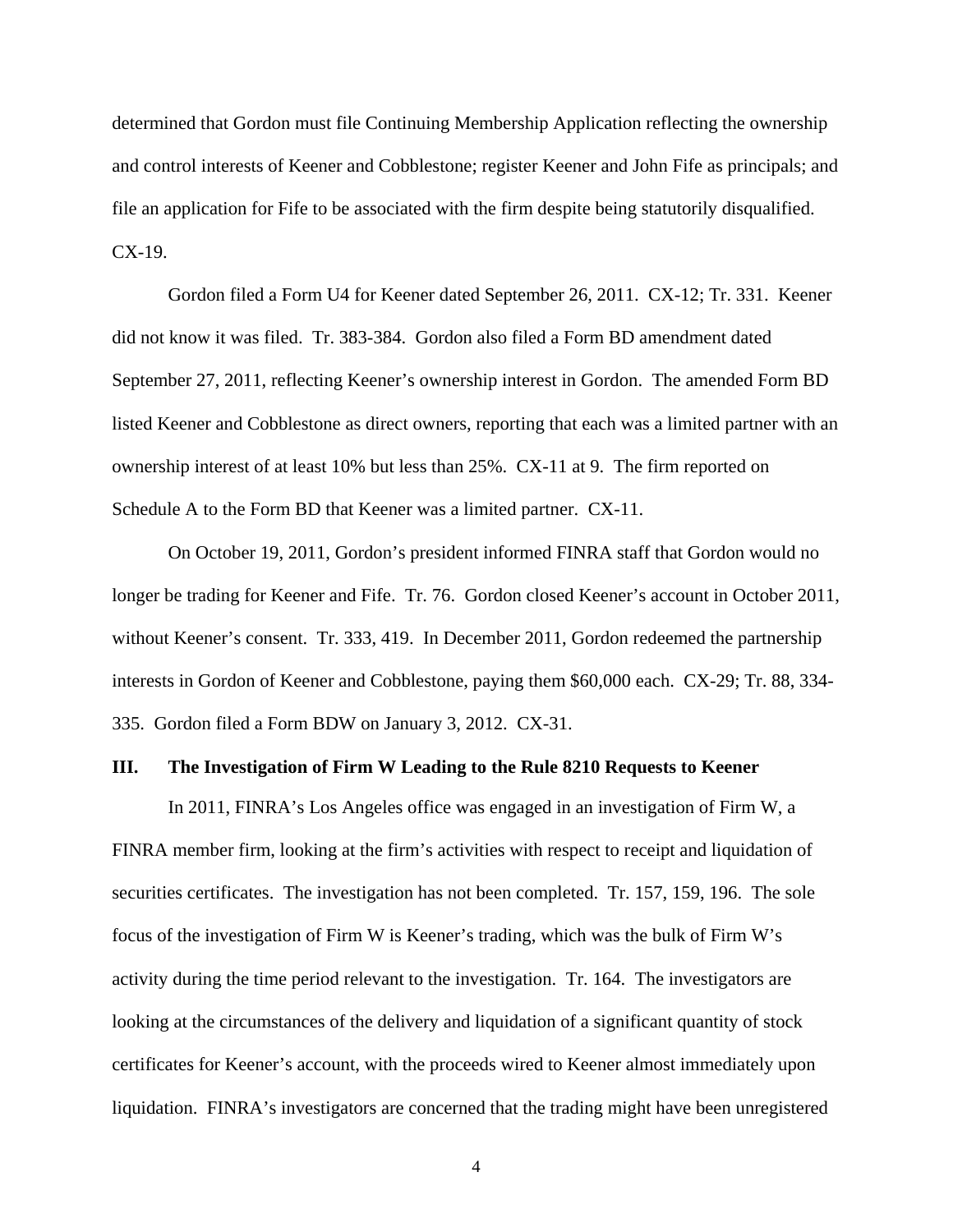determined that Gordon must file Continuing Membership Application reflecting the ownership and control interests of Keener and Cobblestone; register Keener and John Fife as principals; and file an application for Fife to be associated with the firm despite being statutorily disqualified. CX-19.

Gordon filed a Form U4 for Keener dated September 26, 2011. CX-12; Tr. 331. Keener did not know it was filed. Tr. 383-384. Gordon also filed a Form BD amendment dated September 27, 2011, reflecting Keener's ownership interest in Gordon. The amended Form BD listed Keener and Cobblestone as direct owners, reporting that each was a limited partner with an ownership interest of at least 10% but less than 25%. CX-11 at 9. The firm reported on Schedule A to the Form BD that Keener was a limited partner. CX-11.

On October 19, 2011, Gordon's president informed FINRA staff that Gordon would no longer be trading for Keener and Fife. Tr. 76. Gordon closed Keener's account in October 2011, without Keener's consent. Tr. 333, 419. In December 2011, Gordon redeemed the partnership interests in Gordon of Keener and Cobblestone, paying them \$60,000 each. CX-29; Tr. 88, 334- 335. Gordon filed a Form BDW on January 3, 2012. CX-31.

#### **III. The Investigation of Firm W Leading to the Rule 8210 Requests to Keener**

In 2011, FINRA's Los Angeles office was engaged in an investigation of Firm W, a FINRA member firm, looking at the firm's activities with respect to receipt and liquidation of securities certificates. The investigation has not been completed. Tr. 157, 159, 196. The sole focus of the investigation of Firm W is Keener's trading, which was the bulk of Firm W's activity during the time period relevant to the investigation. Tr. 164. The investigators are looking at the circumstances of the delivery and liquidation of a significant quantity of stock certificates for Keener's account, with the proceeds wired to Keener almost immediately upon liquidation. FINRA's investigators are concerned that the trading might have been unregistered

4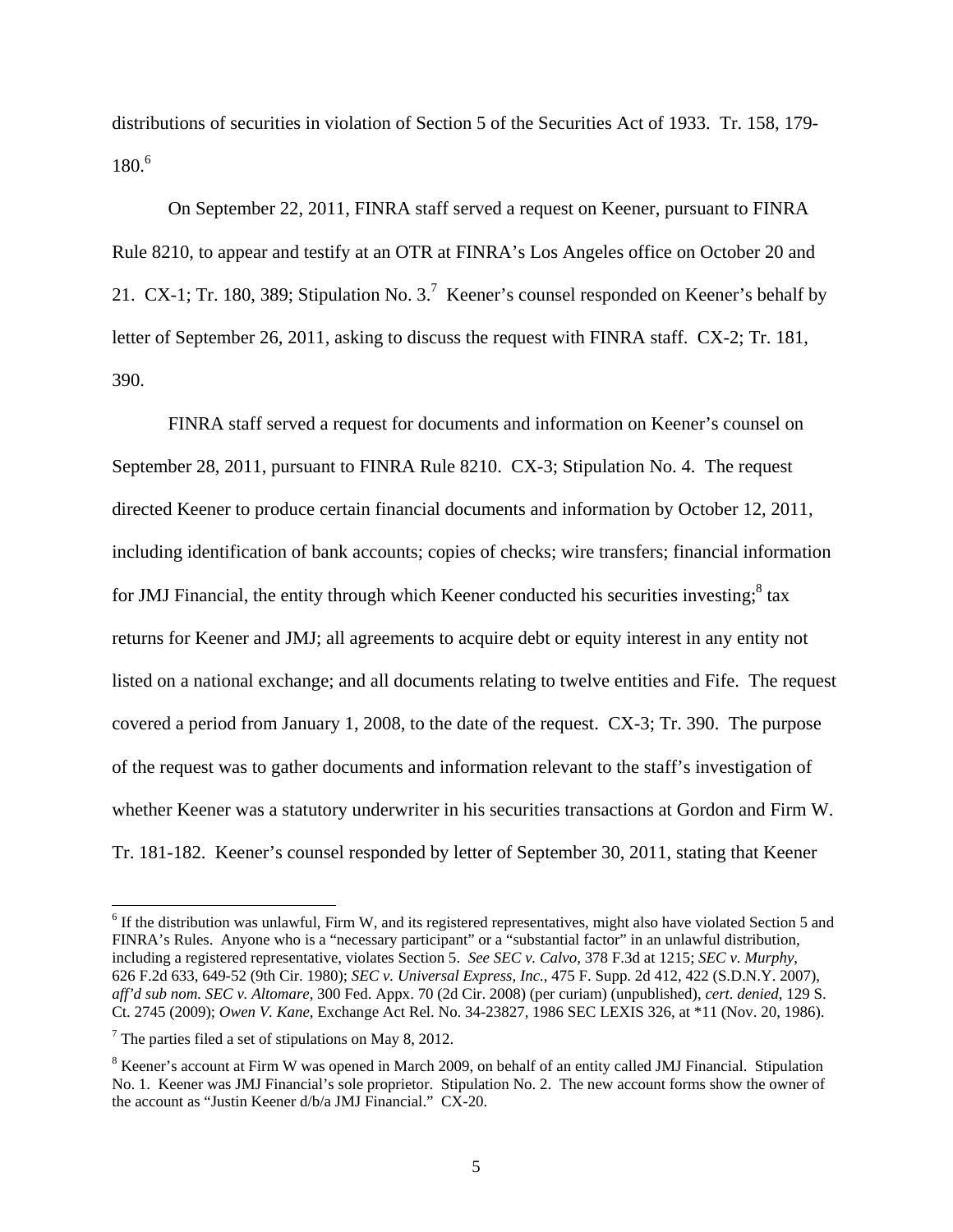distributions of securities in violation of Section 5 of the Securities Act of 1933. Tr. 158, 179- 180.6

On September 22, 2011, FINRA staff served a request on Keener, pursuant to FINRA Rule 8210, to appear and testify at an OTR at FINRA's Los Angeles office on October 20 and 21. CX-1; Tr. 180, 389; Stipulation No. 3.<sup>7</sup> Keener's counsel responded on Keener's behalf by letter of September 26, 2011, asking to discuss the request with FINRA staff. CX-2; Tr. 181, 390.

FINRA staff served a request for documents and information on Keener's counsel on September 28, 2011, pursuant to FINRA Rule 8210. CX-3; Stipulation No. 4. The request directed Keener to produce certain financial documents and information by October 12, 2011, including identification of bank accounts; copies of checks; wire transfers; financial information for JMJ Financial, the entity through which Keener conducted his securities investing; $8$  tax returns for Keener and JMJ; all agreements to acquire debt or equity interest in any entity not listed on a national exchange; and all documents relating to twelve entities and Fife. The request covered a period from January 1, 2008, to the date of the request. CX-3; Tr. 390. The purpose of the request was to gather documents and information relevant to the staff's investigation of whether Keener was a statutory underwriter in his securities transactions at Gordon and Firm W. Tr. 181-182. Keener's counsel responded by letter of September 30, 2011, stating that Keener

l

 $6$  If the distribution was unlawful, Firm W, and its registered representatives, might also have violated Section 5 and FINRA's Rules. Anyone who is a "necessary participant" or a "substantial factor" in an unlawful distribution, including a registered representative, violates Section 5. *See SEC v. Calvo*, 378 F.3d at 1215; *SEC v. Murphy*, 626 F.2d 633, 649-52 (9th Cir. 1980); *SEC v. Universal Express, Inc.*, 475 F. Supp. 2d 412, 422 (S.D.N.Y. 2007), *aff'd sub nom. SEC v. Altomare*, 300 Fed. Appx. 70 (2d Cir. 2008) (per curiam) (unpublished), *cert. denied*, 129 S. Ct. 2745 (2009); *Owen V. Kane*, Exchange Act Rel. No. 34-23827, 1986 SEC LEXIS 326, at \*11 (Nov. 20, 1986).

 $7$  The parties filed a set of stipulations on May 8, 2012.

<sup>&</sup>lt;sup>8</sup> Keener's account at Firm W was opened in March 2009, on behalf of an entity called JMJ Financial. Stipulation No. 1. Keener was JMJ Financial's sole proprietor. Stipulation No. 2. The new account forms show the owner of the account as "Justin Keener d/b/a JMJ Financial." CX-20.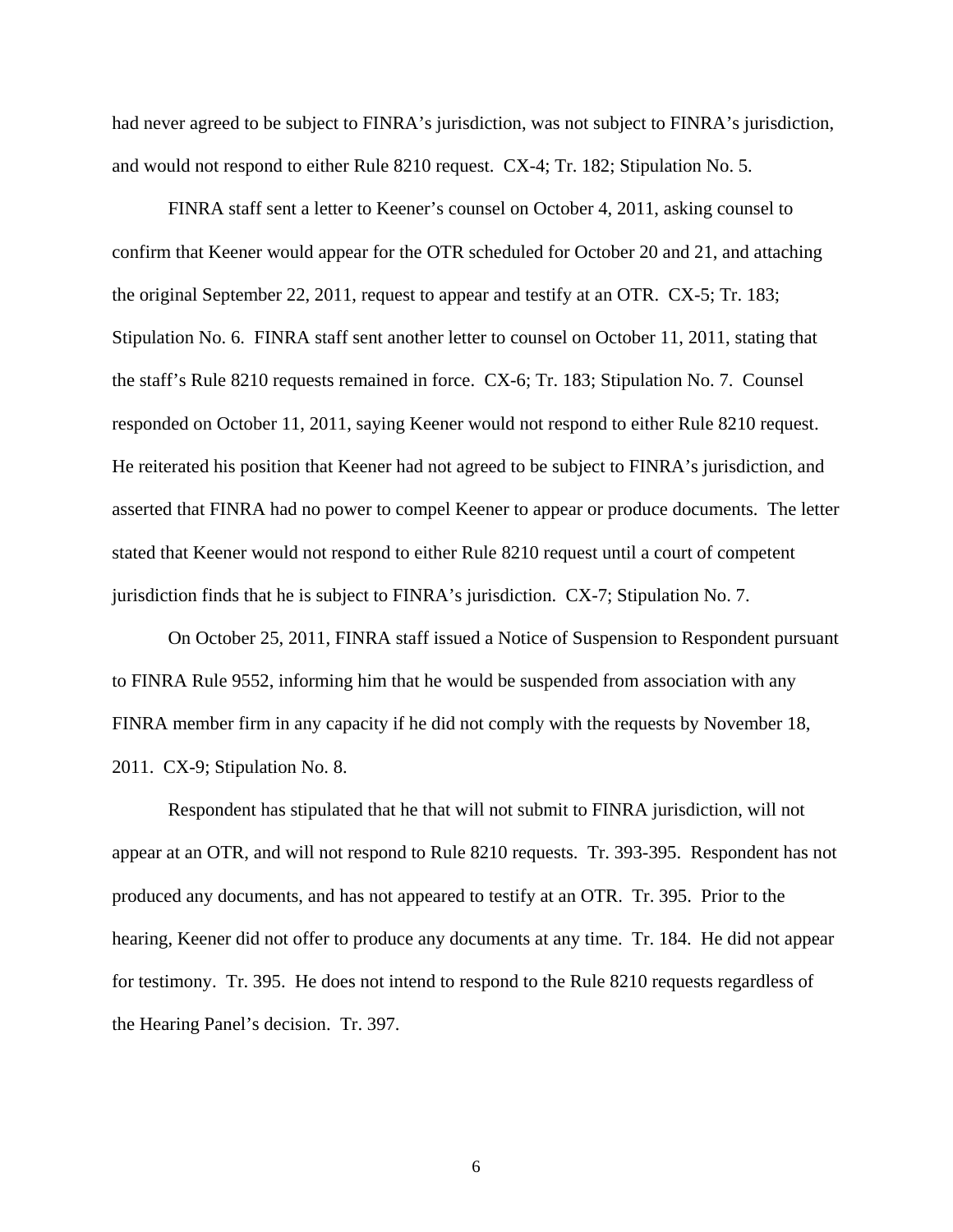had never agreed to be subject to FINRA's jurisdiction, was not subject to FINRA's jurisdiction, and would not respond to either Rule 8210 request. CX-4; Tr. 182; Stipulation No. 5.

FINRA staff sent a letter to Keener's counsel on October 4, 2011, asking counsel to confirm that Keener would appear for the OTR scheduled for October 20 and 21, and attaching the original September 22, 2011, request to appear and testify at an OTR. CX-5; Tr. 183; Stipulation No. 6. FINRA staff sent another letter to counsel on October 11, 2011, stating that the staff's Rule 8210 requests remained in force. CX-6; Tr. 183; Stipulation No. 7. Counsel responded on October 11, 2011, saying Keener would not respond to either Rule 8210 request. He reiterated his position that Keener had not agreed to be subject to FINRA's jurisdiction, and asserted that FINRA had no power to compel Keener to appear or produce documents. The letter stated that Keener would not respond to either Rule 8210 request until a court of competent jurisdiction finds that he is subject to FINRA's jurisdiction. CX-7; Stipulation No. 7.

On October 25, 2011, FINRA staff issued a Notice of Suspension to Respondent pursuant to FINRA Rule 9552, informing him that he would be suspended from association with any FINRA member firm in any capacity if he did not comply with the requests by November 18, 2011. CX-9; Stipulation No. 8.

Respondent has stipulated that he that will not submit to FINRA jurisdiction, will not appear at an OTR, and will not respond to Rule 8210 requests. Tr. 393-395. Respondent has not produced any documents, and has not appeared to testify at an OTR. Tr. 395. Prior to the hearing, Keener did not offer to produce any documents at any time. Tr. 184. He did not appear for testimony. Tr. 395. He does not intend to respond to the Rule 8210 requests regardless of the Hearing Panel's decision. Tr. 397.

6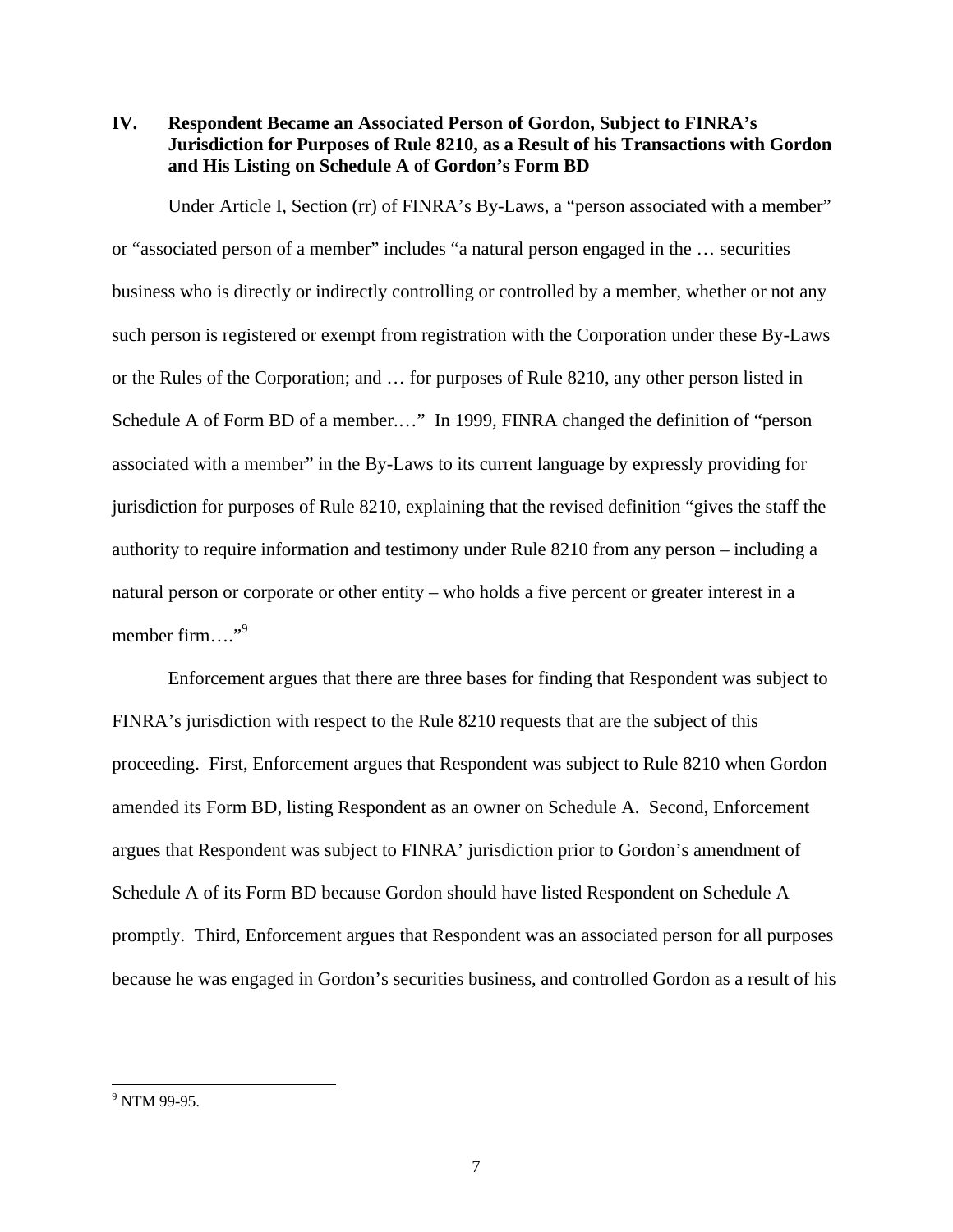**IV. Respondent Became an Associated Person of Gordon, Subject to FINRA's Jurisdiction for Purposes of Rule 8210, as a Result of his Transactions with Gordon and His Listing on Schedule A of Gordon's Form BD** 

Under Article I, Section (rr) of FINRA's By-Laws, a "person associated with a member" or "associated person of a member" includes "a natural person engaged in the … securities business who is directly or indirectly controlling or controlled by a member, whether or not any such person is registered or exempt from registration with the Corporation under these By-Laws or the Rules of the Corporation; and … for purposes of Rule 8210, any other person listed in Schedule A of Form BD of a member.…" In 1999, FINRA changed the definition of "person associated with a member" in the By-Laws to its current language by expressly providing for jurisdiction for purposes of Rule 8210, explaining that the revised definition "gives the staff the authority to require information and testimony under Rule 8210 from any person – including a natural person or corporate or other entity – who holds a five percent or greater interest in a member firm…."<sup>9</sup>

Enforcement argues that there are three bases for finding that Respondent was subject to FINRA's jurisdiction with respect to the Rule 8210 requests that are the subject of this proceeding. First, Enforcement argues that Respondent was subject to Rule 8210 when Gordon amended its Form BD, listing Respondent as an owner on Schedule A. Second, Enforcement argues that Respondent was subject to FINRA' jurisdiction prior to Gordon's amendment of Schedule A of its Form BD because Gordon should have listed Respondent on Schedule A promptly. Third, Enforcement argues that Respondent was an associated person for all purposes because he was engaged in Gordon's securities business, and controlled Gordon as a result of his

l

<sup>&</sup>lt;sup>9</sup> NTM 99-95.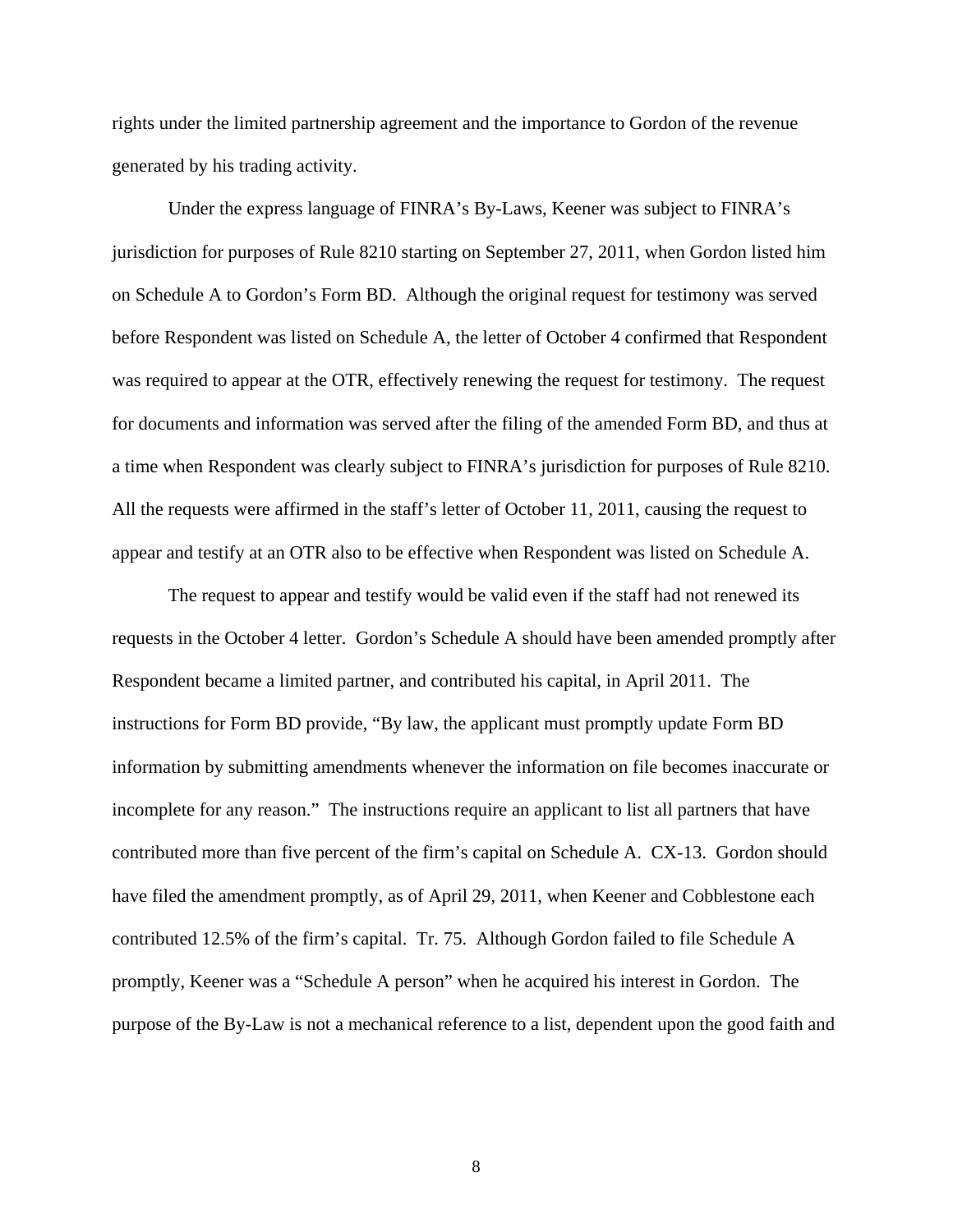rights under the limited partnership agreement and the importance to Gordon of the revenue generated by his trading activity.

Under the express language of FINRA's By-Laws, Keener was subject to FINRA's jurisdiction for purposes of Rule 8210 starting on September 27, 2011, when Gordon listed him on Schedule A to Gordon's Form BD. Although the original request for testimony was served before Respondent was listed on Schedule A, the letter of October 4 confirmed that Respondent was required to appear at the OTR, effectively renewing the request for testimony. The request for documents and information was served after the filing of the amended Form BD, and thus at a time when Respondent was clearly subject to FINRA's jurisdiction for purposes of Rule 8210. All the requests were affirmed in the staff's letter of October 11, 2011, causing the request to appear and testify at an OTR also to be effective when Respondent was listed on Schedule A.

The request to appear and testify would be valid even if the staff had not renewed its requests in the October 4 letter. Gordon's Schedule A should have been amended promptly after Respondent became a limited partner, and contributed his capital, in April 2011. The instructions for Form BD provide, "By law, the applicant must promptly update Form BD information by submitting amendments whenever the information on file becomes inaccurate or incomplete for any reason." The instructions require an applicant to list all partners that have contributed more than five percent of the firm's capital on Schedule A. CX-13. Gordon should have filed the amendment promptly, as of April 29, 2011, when Keener and Cobblestone each contributed 12.5% of the firm's capital. Tr. 75. Although Gordon failed to file Schedule A promptly, Keener was a "Schedule A person" when he acquired his interest in Gordon. The purpose of the By-Law is not a mechanical reference to a list, dependent upon the good faith and

8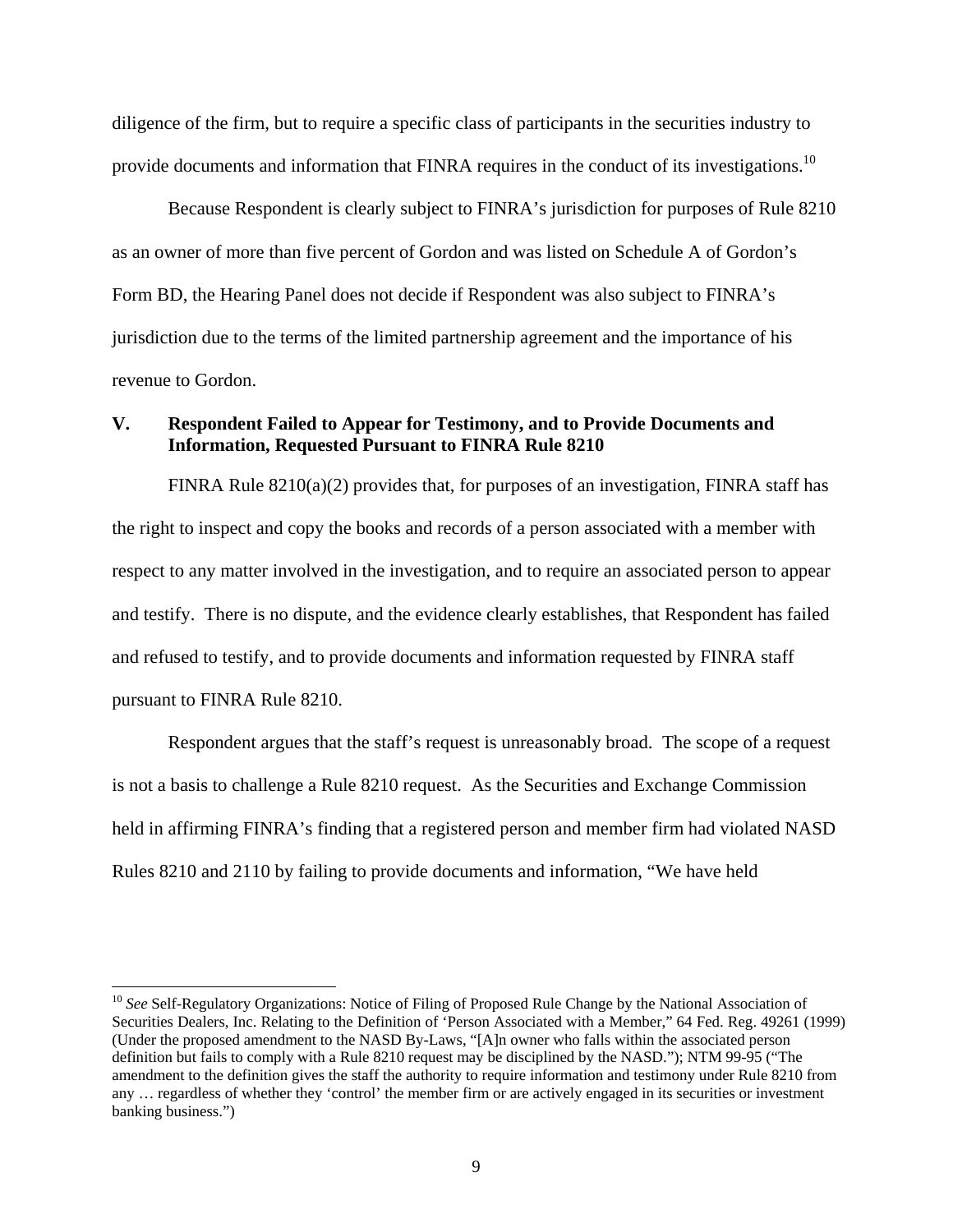diligence of the firm, but to require a specific class of participants in the securities industry to provide documents and information that FINRA requires in the conduct of its investigations.<sup>10</sup>

Because Respondent is clearly subject to FINRA's jurisdiction for purposes of Rule 8210 as an owner of more than five percent of Gordon and was listed on Schedule A of Gordon's Form BD, the Hearing Panel does not decide if Respondent was also subject to FINRA's jurisdiction due to the terms of the limited partnership agreement and the importance of his revenue to Gordon.

# **V. Respondent Failed to Appear for Testimony, and to Provide Documents and Information, Requested Pursuant to FINRA Rule 8210**

FINRA Rule  $8210(a)(2)$  provides that, for purposes of an investigation, FINRA staff has the right to inspect and copy the books and records of a person associated with a member with respect to any matter involved in the investigation, and to require an associated person to appear and testify. There is no dispute, and the evidence clearly establishes, that Respondent has failed and refused to testify, and to provide documents and information requested by FINRA staff pursuant to FINRA Rule 8210.

Respondent argues that the staff's request is unreasonably broad. The scope of a request is not a basis to challenge a Rule 8210 request. As the Securities and Exchange Commission held in affirming FINRA's finding that a registered person and member firm had violated NASD Rules 8210 and 2110 by failing to provide documents and information, "We have held

l

<sup>&</sup>lt;sup>10</sup> See Self-Regulatory Organizations: Notice of Filing of Proposed Rule Change by the National Association of Securities Dealers, Inc. Relating to the Definition of 'Person Associated with a Member," 64 Fed. Reg. 49261 (1999) (Under the proposed amendment to the NASD By-Laws, "[A]n owner who falls within the associated person definition but fails to comply with a Rule 8210 request may be disciplined by the NASD."); NTM 99-95 ("The amendment to the definition gives the staff the authority to require information and testimony under Rule 8210 from any … regardless of whether they 'control' the member firm or are actively engaged in its securities or investment banking business.")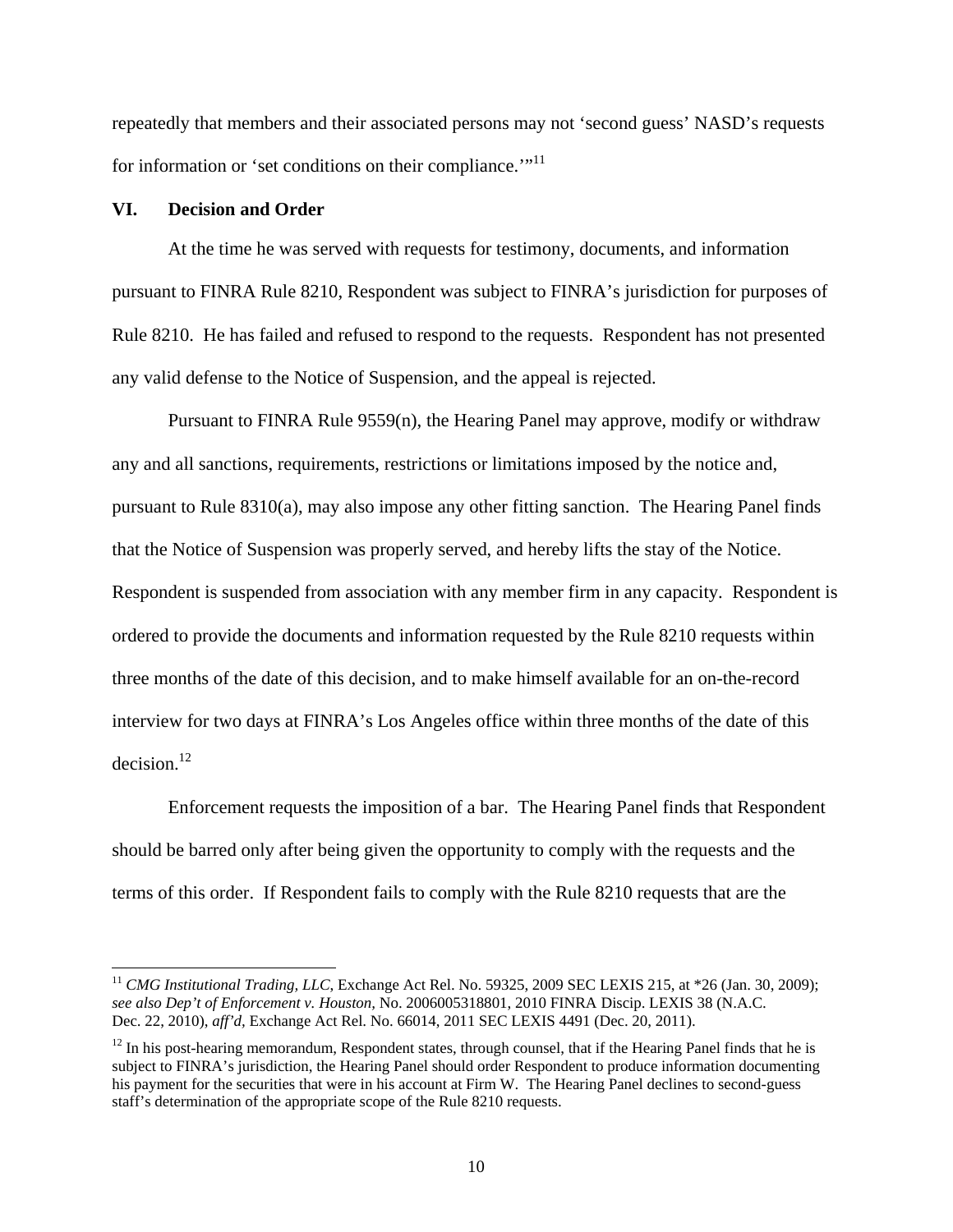repeatedly that members and their associated persons may not 'second guess' NASD's requests for information or 'set conditions on their compliance.'"<sup>11</sup>

### **VI. Decision and Order**

l

At the time he was served with requests for testimony, documents, and information pursuant to FINRA Rule 8210, Respondent was subject to FINRA's jurisdiction for purposes of Rule 8210. He has failed and refused to respond to the requests. Respondent has not presented any valid defense to the Notice of Suspension, and the appeal is rejected.

Pursuant to FINRA Rule 9559(n), the Hearing Panel may approve, modify or withdraw any and all sanctions, requirements, restrictions or limitations imposed by the notice and, pursuant to Rule 8310(a), may also impose any other fitting sanction. The Hearing Panel finds that the Notice of Suspension was properly served, and hereby lifts the stay of the Notice. Respondent is suspended from association with any member firm in any capacity. Respondent is ordered to provide the documents and information requested by the Rule 8210 requests within three months of the date of this decision, and to make himself available for an on-the-record interview for two days at FINRA's Los Angeles office within three months of the date of this  $decision.<sup>12</sup>$ 

Enforcement requests the imposition of a bar. The Hearing Panel finds that Respondent should be barred only after being given the opportunity to comply with the requests and the terms of this order. If Respondent fails to comply with the Rule 8210 requests that are the

<sup>&</sup>lt;sup>11</sup> *CMG Institutional Trading, LLC*, Exchange Act Rel. No. 59325, 2009 SEC LEXIS 215, at \*26 (Jan. 30, 2009); *see also Dep't of Enforcement v. Houston,* No. 2006005318801, 2010 FINRA Discip. LEXIS 38 (N.A.C. Dec. 22, 2010), *aff'd,* Exchange Act Rel. No. 66014, 2011 SEC LEXIS 4491 (Dec. 20, 2011).

 $12$  In his post-hearing memorandum, Respondent states, through counsel, that if the Hearing Panel finds that he is subject to FINRA's jurisdiction, the Hearing Panel should order Respondent to produce information documenting his payment for the securities that were in his account at Firm W. The Hearing Panel declines to second-guess staff's determination of the appropriate scope of the Rule 8210 requests.